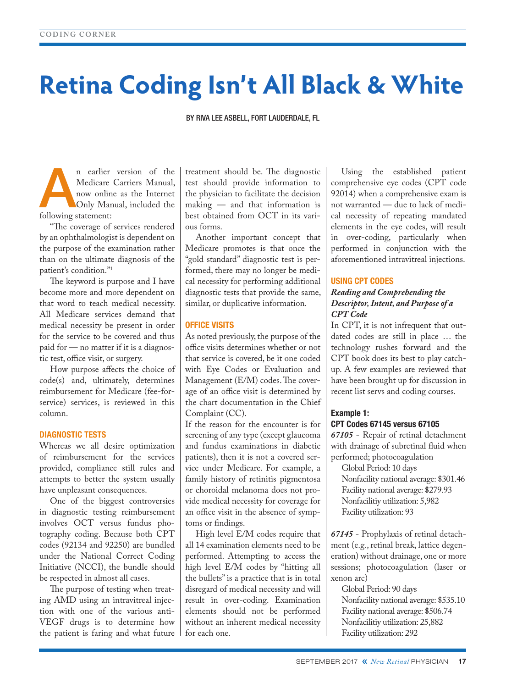# **Retina Coding Isn't All Black & White**

BY RIVA LEE ASBELL, FORT LAUDERDALE, FL

n earlier version of the Medicare Carriers Manual, now online as the Internet Only Manual, included the following statement: Medicare Carriers Manual, now online as the Internet following statement:

"The coverage of services rendered by an ophthalmologist is dependent on the purpose of the examination rather than on the ultimate diagnosis of the patient's condition."1

The keyword is purpose and I have become more and more dependent on that word to teach medical necessity. All Medicare services demand that medical necessity be present in order for the service to be covered and thus paid for — no matter if it is a diagnostic test, office visit, or surgery.

How purpose affects the choice of code(s) and, ultimately, determines reimbursement for Medicare (fee-forservice) services, is reviewed in this column.

# DIAGNOSTIC TESTS

Whereas we all desire optimization of reimbursement for the services provided, compliance still rules and attempts to better the system usually have unpleasant consequences.

One of the biggest controversies in diagnostic testing reimbursement involves OCT versus fundus photography coding. Because both CPT codes (92134 and 92250) are bundled under the National Correct Coding Initiative (NCCI), the bundle should be respected in almost all cases.

The purpose of testing when treating AMD using an intravitreal injection with one of the various anti-VEGF drugs is to determine how the patient is faring and what future treatment should be. The diagnostic test should provide information to the physician to facilitate the decision making — and that information is best obtained from OCT in its various forms.

Another important concept that Medicare promotes is that once the "gold standard" diagnostic test is performed, there may no longer be medical necessity for performing additional diagnostic tests that provide the same, similar, or duplicative information.

## OFFICE VISITS

As noted previously, the purpose of the office visits determines whether or not that service is covered, be it one coded with Eye Codes or Evaluation and Management (E/M) codes. The coverage of an office visit is determined by the chart documentation in the Chief Complaint (CC).

If the reason for the encounter is for screening of any type (except glaucoma and fundus examinations in diabetic patients), then it is not a covered service under Medicare. For example, a family history of retinitis pigmentosa or choroidal melanoma does not provide medical necessity for coverage for an office visit in the absence of symptoms or findings.

High level E/M codes require that all 14 examination elements need to be performed. Attempting to access the high level E/M codes by "hitting all the bullets" is a practice that is in total disregard of medical necessity and will result in over-coding. Examination elements should not be performed without an inherent medical necessity for each one.

Using the established patient comprehensive eye codes (CPT code 92014) when a comprehensive exam is not warranted — due to lack of medical necessity of repeating mandated elements in the eye codes, will result in over-coding, particularly when performed in conjunction with the aforementioned intravitreal injections.

## USING CPT CODES

# *Reading and Comprehending the Descriptor, Intent, and Purpose of a CPT Code*

In CPT, it is not infrequent that outdated codes are still in place … the technology rushes forward and the CPT book does its best to play catchup. A few examples are reviewed that have been brought up for discussion in recent list servs and coding courses.

# Example 1: CPT Codes 67145 versus 67105

*67105* - Repair of retinal detachment with drainage of subretinal fluid when performed; photocoagulation

Global Period: 10 days Nonfacility national average: \$301.46 Facility national average: \$279.93 Nonfacilitiy utilization: 5,982 Facility utilization: 93

*67145* - Prophylaxis of retinal detachment (e.g., retinal break, lattice degeneration) without drainage, one or more sessions; photocoagulation (laser or xenon arc)

Global Period: 90 days Nonfacility national average: \$535.10 Facility national average: \$506.74 Nonfacilitiy utilization: 25,882 Facility utilization: 292